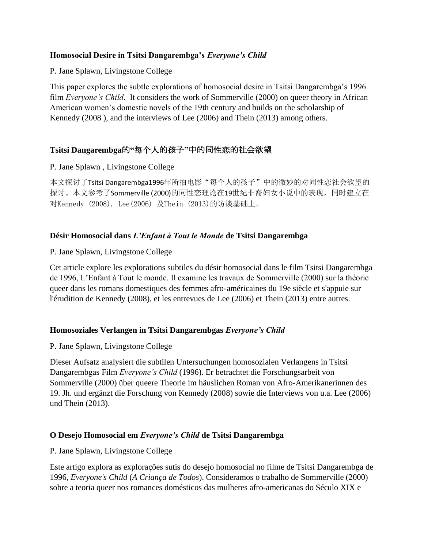#### **Homosocial Desire in Tsitsi Dangarembga's** *Everyone's Child*

P. Jane Splawn, Livingstone College

This paper explores the subtle explorations of homosocial desire in Tsitsi Dangarembga's 1996 film *Everyone's Child*. It considers the work of Sommerville (2000) on queer theory in African American women's domestic novels of the 19th century and builds on the scholarship of Kennedy (2008 ), and the interviews of Lee (2006) and Thein (2013) among others.

# **Tsitsi Dangarembga**的**"**每个人的孩子**"**中的同性恋的社会欲望

## P. Jane Splawn , Livingstone College

本文探讨了Tsitsi Dangarembga1996年所拍电影"每个人的孩子"中的微妙的对同性恋社会欲望的 探讨。本文参考了Sommerville (2000)的同性恋理论在19世纪非裔妇女小说中的表现,同时建立在 对Kennedy (2008), Lee(2006) 及Thein (2013)的访谈基础上。

## **Désir Homosocial dans** *L'Enfant à Tout le Monde* **de Tsitsi Dangarembga**

## P. Jane Splawn, Livingstone College

Cet article explore les explorations subtiles du désir homosocial dans le film Tsitsi Dangarembga de 1996, L'Enfant à Tout le monde. Il examine les travaux de Sommerville (2000) sur la théorie queer dans les romans domestiques des femmes afro-américaines du 19e siècle et s'appuie sur l'érudition de Kennedy (2008), et les entrevues de Lee (2006) et Thein (2013) entre autres.

## **Homosoziales Verlangen in Tsitsi Dangarembgas** *Everyone's Child*

P. Jane Splawn, Livingstone College

Dieser Aufsatz analysiert die subtilen Untersuchungen homosozialen Verlangens in Tsitsi Dangarembgas Film *Everyone's Child* (1996). Er betrachtet die Forschungsarbeit von Sommerville (2000) über queere Theorie im häuslichen Roman von Afro-Amerikanerinnen des 19. Jh. und ergänzt die Forschung von Kennedy (2008) sowie die Interviews von u.a. Lee (2006) und Thein (2013).

## **O Desejo Homosocial em** *Everyone's Child* **de Tsitsi Dangarembga**

#### P. Jane Splawn, Livingstone College

Este artigo explora as explorações sutis do desejo homosocial no filme de Tsitsi Dangarembga de 1996, *Everyone's Child* (*A Criança de Todos*). Consideramos o trabalho de Sommerville (2000) sobre a teoria queer nos romances domésticos das mulheres afro-americanas do Século XIX e